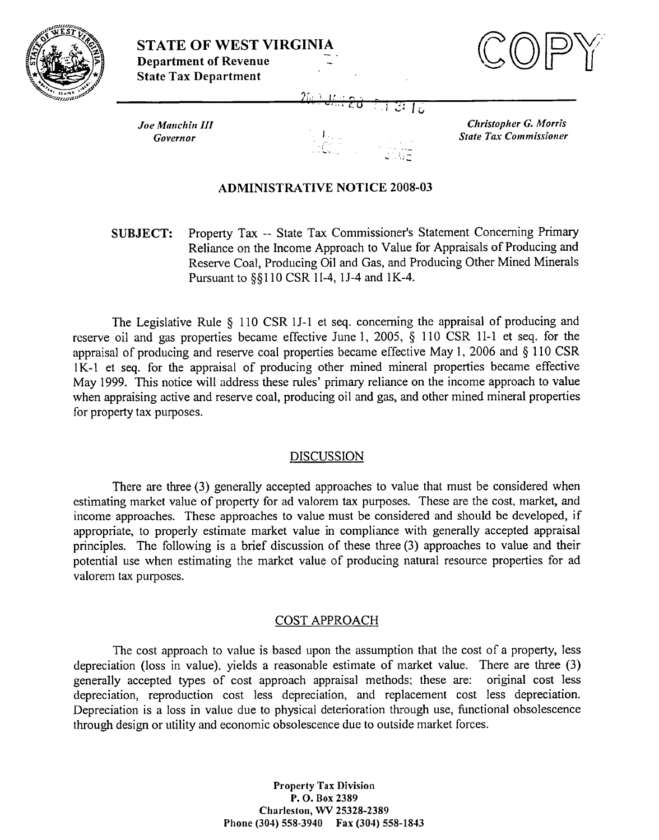



Joe Manchin III Governor

Christopher G. Morris **State Tax Commissioner** 

## **ADMINISTRATIVE NOTICE 2008-03**

Property Tax -- State Tax Commissioner's Statement Concerning Primary **SUBJECT:** Reliance on the Income Approach to Value for Appraisals of Producing and Reserve Coal, Producing Oil and Gas, and Producing Other Mined Minerals Pursuant to §§110 CSR 1I-4, 1J-4 and 1K-4.

The Legislative Rule § 110 CSR 1J-1 et seq. concerning the appraisal of producing and reserve oil and gas properties became effective June 1, 2005, § 110 CSR 1I-1 et seq. for the appraisal of producing and reserve coal properties became effective May 1, 2006 and § 110 CSR 1K-1 et seq. for the appraisal of producing other mined mineral properties became effective May 1999. This notice will address these rules' primary reliance on the income approach to value when appraising active and reserve coal, producing oil and gas, and other mined mineral properties for property tax purposes.

#### **DISCUSSION**

There are three (3) generally accepted approaches to value that must be considered when estimating market value of property for ad valorem tax purposes. These are the cost, market, and income approaches. These approaches to value must be considered and should be developed, if appropriate, to properly estimate market value in compliance with generally accepted appraisal principles. The following is a brief discussion of these three (3) approaches to value and their potential use when estimating the market value of producing natural resource properties for ad valorem tax purposes.

## **COST APPROACH**

The cost approach to value is based upon the assumption that the cost of a property, less depreciation (loss in value), yields a reasonable estimate of market value. There are three (3) generally accepted types of cost approach appraisal methods; these are: original cost less depreciation, reproduction cost less depreciation, and replacement cost less depreciation. Depreciation is a loss in value due to physical deterioration through use, functional obsolescence through design or utility and economic obsolescence due to outside market forces.

> **Property Tax Division** P.O. Box 2389 Charleston, WV 25328-2389 Phone (304) 558-3940 Fax (304) 558-1843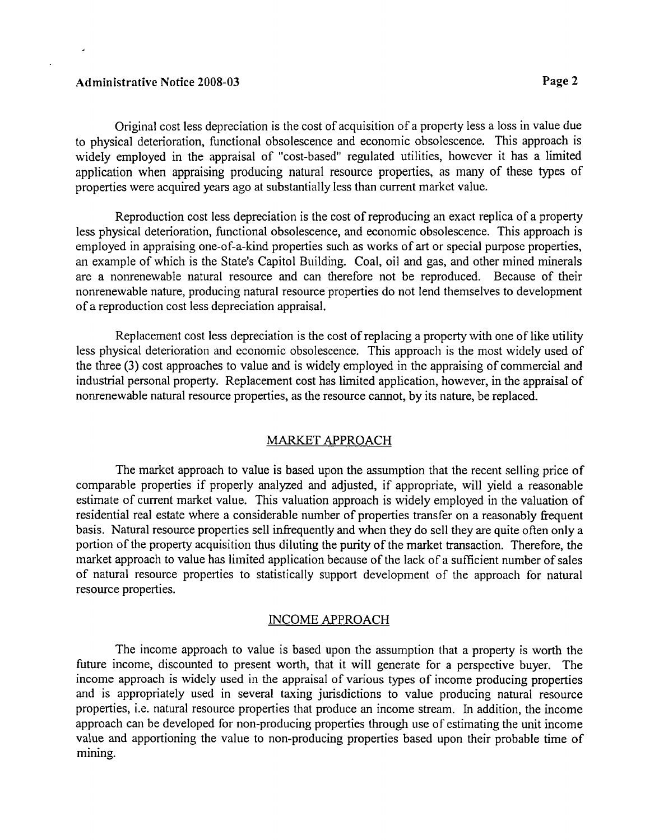### **Administrative Notice 2008-03** Page 2 **Page 2**

Original cost less depreciation is the cost of acquisition of a property less a loss in value due to physical deterioration, functional obsolescence and economic obsolescence. This approach is widely employed in the appraisal of "cost-based" regulated utilities, however it has a limited application when appraising producing natural resource properties, as many of these types of properties were acquired years ago at substantially less than current market value.

Reproduction cost less depreciation is the cost of reproducing an exact replica of a property less physical deterioration, hnctional obsolescence, and economic obsolescence. This approach is employed in appraising one-of-a-kind properties such as works of art or special purpose properties, an example of which is the State's Capitol Building. Coal, oil and gas, and other mined minerals are a nonrenewable natural resource and can therefore not be reproduced. Because of their nonrenewable nature, producing natural resource properties do not lend themselves to development of a reproduction cost less depreciation appraisal.

Replacement cost less depreciation is the cost of replacing a property with one of like utility less physical deterioration and economic obsolescence. This approach is the most widely used of the three (3) cost approaches to value and is widely employed in the appraising of commercial and industrial personal property. Replacement cost has limited application, however, in the appraisal of nonrenewable natural resource properties, as the resource cannot, by its nature, be replaced.

# MARKET APPROACH

The market approach to value is based upon the assumption that the recent selling price of comparable properties if properly analyzed and adjusted, if appropriate, will yield a reasonable estimate of current market value. This valuation approach is widely employed in the valuation of residential real estate where a considerable number of properties transfer on a reasonably frequent basis. Natural resource properties sell infrequently and when they do sell they are quite often only a portion of the property acquisition thus diluting the purity of the market transaction. Therefore, the market approach to value has limited application because of the lack of a sufficient number of sales of natural resource properties to statistically support development of the approach for natural resource properties.

## INCOME APPROACH

The income approach to value is based upon the assumption that a property is worth the future income, discounted to present worth, that it will generate for a perspective buyer. The income approach is widely used in the appraisal of various types of income producing properties and is appropriately used in several taxing jurisdictions to value producing natural resource properties, i.e. natural resource properties that produce an income stream. In addition, the income approach can be developed for non-producing properties through use of estimating the unit income value and apportioning the value to non-producing properties based upon their probable time of mining.